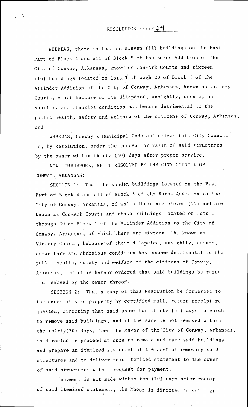## RESOLUTION  $R - 77 - 24$

WHEREAS, there is located eleven (11) buildings on the East part of Block 4 and all of Block 5 of the Burns Addition of the City of Conway, Arkansas, known as Con-Ark Courts and sixteen (16) buildings located on lots,  $1$  through 20 of Block 4 of the Allinder Addition of the City of Conway, Arkansas, known as Victorv Courts, which because of its dilapated, unsightly, unsafe, unsanitary and obnoxios condition has become detrimental to the public health, safety and welfare of the citizens of Conway, Arkansas, and

to, by Resolution, order the renoval or razin of said structures by the owner within thirty (30) days after proper service WHEREAS, Conway's Municipal Code authorizes this City Council

NOW, THEREFORE, BE IT RESOLVED BY THE CITY COUNCIL OF CONWAY, ARKANSAS:

SECTION 1: That the wooden buildings located on the East part of Block 4 and all of Block 5 of the Burns Addition to the City of Conway, Arkansas, of which there are eleven (11) and are known as Con-Ark Courts and those buildings located on Lots 1 through 20 of Block 4 of the Allinder Addition to the City of Conway, Arkansas, of which there are sixteen (16) known as Victory Courts, because of their dilapated, unsightly, unsafe, unsanitary and obnoxious condition has become detrimental to the public health, safety and welfare of the citizens of Conway, Arkansas, and it is hereby ordered that said buildings be razed and renoved by the owner threof.

SECTION 2: That a copy of this Resolution be forwarded to the owner of said property by certified mail, return receipt requested, directing that said owner has thirty (30) days in which to renove said buildings, and if the same be not removed within the thirty(30) days, then the Mayor of the City of Conway, Arkansas, is directed to proceed at once to remove and Taze said buildings and prepare an itenized statement of the cost of renoving said structures and to deliver said itenized statenent to the owner of said structures with a request for paynent.

If payment is not made within ten (10) days after receipt of said itemized statement, the Mayor is directed to sell, at